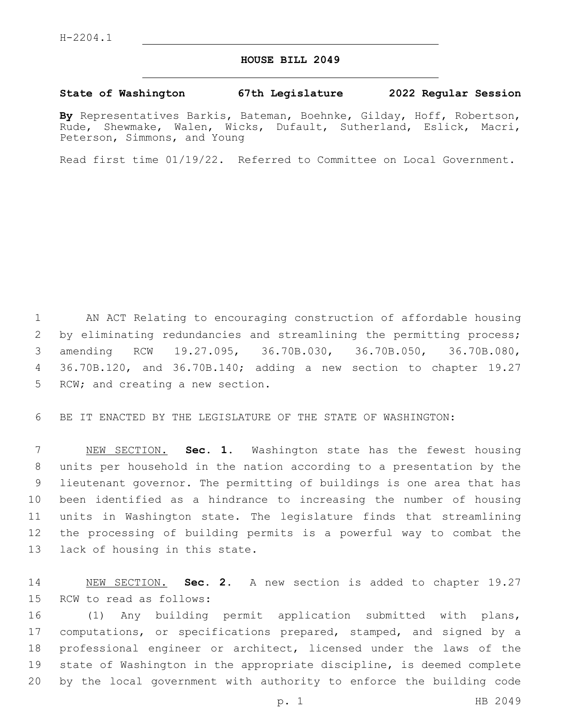## **HOUSE BILL 2049**

## **State of Washington 67th Legislature 2022 Regular Session**

**By** Representatives Barkis, Bateman, Boehnke, Gilday, Hoff, Robertson, Rude, Shewmake, Walen, Wicks, Dufault, Sutherland, Eslick, Macri, Peterson, Simmons, and Young

Read first time 01/19/22. Referred to Committee on Local Government.

 AN ACT Relating to encouraging construction of affordable housing by eliminating redundancies and streamlining the permitting process; amending RCW 19.27.095, 36.70B.030, 36.70B.050, 36.70B.080, 36.70B.120, and 36.70B.140; adding a new section to chapter 19.27 5 RCW; and creating a new section.

BE IT ENACTED BY THE LEGISLATURE OF THE STATE OF WASHINGTON:

 NEW SECTION. **Sec. 1.** Washington state has the fewest housing units per household in the nation according to a presentation by the lieutenant governor. The permitting of buildings is one area that has been identified as a hindrance to increasing the number of housing units in Washington state. The legislature finds that streamlining the processing of building permits is a powerful way to combat the lack of housing in this state.

 NEW SECTION. **Sec. 2.** A new section is added to chapter 19.27 15 RCW to read as follows:

 (1) Any building permit application submitted with plans, computations, or specifications prepared, stamped, and signed by a professional engineer or architect, licensed under the laws of the state of Washington in the appropriate discipline, is deemed complete by the local government with authority to enforce the building code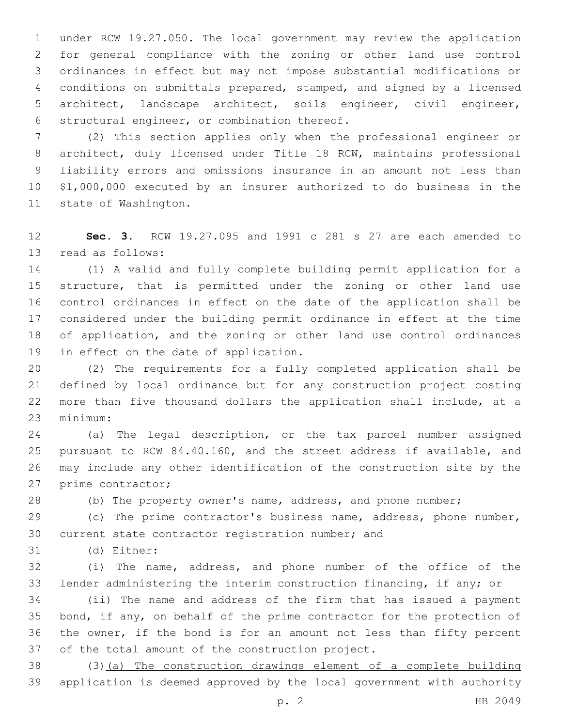under RCW 19.27.050. The local government may review the application for general compliance with the zoning or other land use control ordinances in effect but may not impose substantial modifications or conditions on submittals prepared, stamped, and signed by a licensed architect, landscape architect, soils engineer, civil engineer, 6 structural engineer, or combination thereof.

 (2) This section applies only when the professional engineer or architect, duly licensed under Title 18 RCW, maintains professional liability errors and omissions insurance in an amount not less than \$1,000,000 executed by an insurer authorized to do business in the 11 state of Washington.

 **Sec. 3.** RCW 19.27.095 and 1991 c 281 s 27 are each amended to 13 read as follows:

 (1) A valid and fully complete building permit application for a structure, that is permitted under the zoning or other land use control ordinances in effect on the date of the application shall be considered under the building permit ordinance in effect at the time of application, and the zoning or other land use control ordinances 19 in effect on the date of application.

 (2) The requirements for a fully completed application shall be defined by local ordinance but for any construction project costing more than five thousand dollars the application shall include, at a minimum:23

 (a) The legal description, or the tax parcel number assigned pursuant to RCW 84.40.160, and the street address if available, and may include any other identification of the construction site by the 27 prime contractor;

(b) The property owner's name, address, and phone number;

 (c) The prime contractor's business name, address, phone number, 30 current state contractor registration number; and

31 (d) Either:

 (i) The name, address, and phone number of the office of the lender administering the interim construction financing, if any; or

 (ii) The name and address of the firm that has issued a payment 35 bond, if any, on behalf of the prime contractor for the protection of the owner, if the bond is for an amount not less than fifty percent 37 of the total amount of the construction project.

 (3)(a) The construction drawings element of a complete building 39 application is deemed approved by the local government with authority

p. 2 HB 2049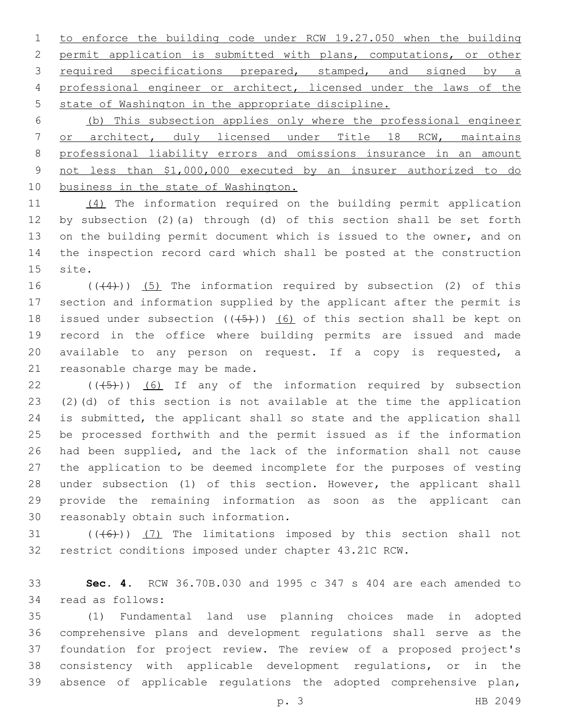to enforce the building code under RCW 19.27.050 when the building permit application is submitted with plans, computations, or other 3 required specifications prepared, stamped, and signed by a professional engineer or architect, licensed under the laws of the 5 state of Washington in the appropriate discipline.

 (b) This subsection applies only where the professional engineer or architect, duly licensed under Title 18 RCW, maintains professional liability errors and omissions insurance in an amount not less than \$1,000,000 executed by an insurer authorized to do 10 business in the state of Washington.

 (4) The information required on the building permit application by subsection (2)(a) through (d) of this section shall be set forth on the building permit document which is issued to the owner, and on the inspection record card which shall be posted at the construction 15 site.

 $((+4))$   $(5)$  The information required by subsection (2) of this section and information supplied by the applicant after the permit is 18 issued under subsection  $((+5))$  (6) of this section shall be kept on record in the office where building permits are issued and made available to any person on request. If a copy is requested, a 21 reasonable charge may be made.

 (( $(45)$ )) (6) If any of the information required by subsection (2)(d) of this section is not available at the time the application is submitted, the applicant shall so state and the application shall be processed forthwith and the permit issued as if the information had been supplied, and the lack of the information shall not cause the application to be deemed incomplete for the purposes of vesting under subsection (1) of this section. However, the applicant shall provide the remaining information as soon as the applicant can 30 reasonably obtain such information.

31  $((+6))$   $(7)$  The limitations imposed by this section shall not restrict conditions imposed under chapter 43.21C RCW.

 **Sec. 4.** RCW 36.70B.030 and 1995 c 347 s 404 are each amended to 34 read as follows:

 (1) Fundamental land use planning choices made in adopted comprehensive plans and development regulations shall serve as the foundation for project review. The review of a proposed project's consistency with applicable development regulations, or in the absence of applicable regulations the adopted comprehensive plan,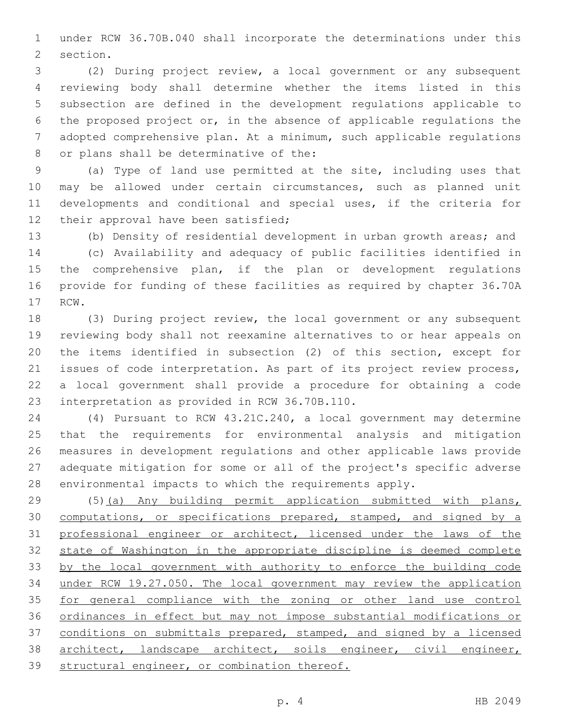under RCW 36.70B.040 shall incorporate the determinations under this 2 section.

 (2) During project review, a local government or any subsequent reviewing body shall determine whether the items listed in this subsection are defined in the development regulations applicable to the proposed project or, in the absence of applicable regulations the adopted comprehensive plan. At a minimum, such applicable regulations 8 or plans shall be determinative of the:

 (a) Type of land use permitted at the site, including uses that may be allowed under certain circumstances, such as planned unit developments and conditional and special uses, if the criteria for 12 their approval have been satisfied;

(b) Density of residential development in urban growth areas; and

 (c) Availability and adequacy of public facilities identified in the comprehensive plan, if the plan or development regulations provide for funding of these facilities as required by chapter 36.70A 17 RCW.

 (3) During project review, the local government or any subsequent reviewing body shall not reexamine alternatives to or hear appeals on the items identified in subsection (2) of this section, except for issues of code interpretation. As part of its project review process, a local government shall provide a procedure for obtaining a code 23 interpretation as provided in RCW 36.70B.110.

 (4) Pursuant to RCW 43.21C.240, a local government may determine that the requirements for environmental analysis and mitigation measures in development regulations and other applicable laws provide adequate mitigation for some or all of the project's specific adverse environmental impacts to which the requirements apply.

 (5)(a) Any building permit application submitted with plans, 30 computations, or specifications prepared, stamped, and signed by a professional engineer or architect, licensed under the laws of the state of Washington in the appropriate discipline is deemed complete by the local government with authority to enforce the building code under RCW 19.27.050. The local government may review the application for general compliance with the zoning or other land use control ordinances in effect but may not impose substantial modifications or 37 conditions on submittals prepared, stamped, and signed by a licensed 38 architect, landscape architect, soils engineer, civil engineer, structural engineer, or combination thereof.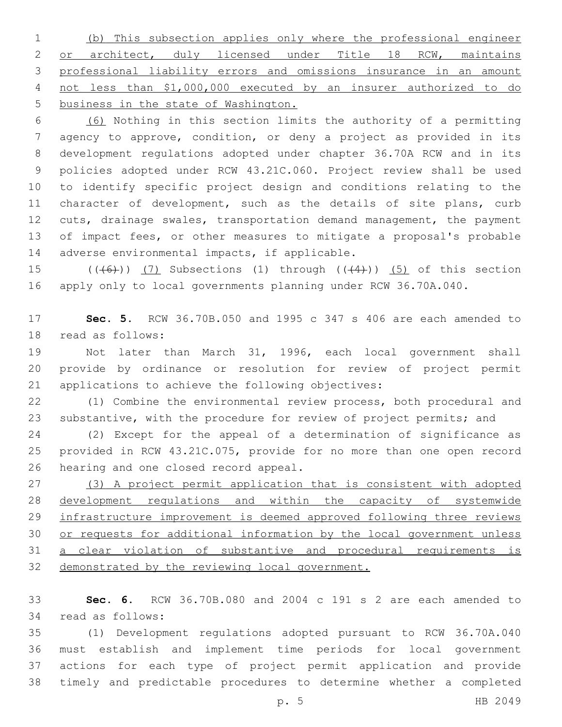(b) This subsection applies only where the professional engineer 2 or architect, duly licensed under Title 18 RCW, maintains professional liability errors and omissions insurance in an amount not less than \$1,000,000 executed by an insurer authorized to do business in the state of Washington.

 (6) Nothing in this section limits the authority of a permitting agency to approve, condition, or deny a project as provided in its development regulations adopted under chapter 36.70A RCW and in its policies adopted under RCW 43.21C.060. Project review shall be used to identify specific project design and conditions relating to the 11 character of development, such as the details of site plans, curb cuts, drainage swales, transportation demand management, the payment of impact fees, or other measures to mitigate a proposal's probable 14 adverse environmental impacts, if applicable.

15  $((\overline{6})$   $(7)$  Subsections (1) through  $((\overline{4})$   $(5)$  of this section apply only to local governments planning under RCW 36.70A.040.

 **Sec. 5.** RCW 36.70B.050 and 1995 c 347 s 406 are each amended to 18 read as follows:

 Not later than March 31, 1996, each local government shall provide by ordinance or resolution for review of project permit 21 applications to achieve the following objectives:

 (1) Combine the environmental review process, both procedural and 23 substantive, with the procedure for review of project permits; and

 (2) Except for the appeal of a determination of significance as provided in RCW 43.21C.075, provide for no more than one open record 26 hearing and one closed record appeal.

 (3) A project permit application that is consistent with adopted development regulations and within the capacity of systemwide 29 infrastructure improvement is deemed approved following three reviews or requests for additional information by the local government unless a clear violation of substantive and procedural requirements is 32 demonstrated by the reviewing local government.

 **Sec. 6.** RCW 36.70B.080 and 2004 c 191 s 2 are each amended to 34 read as follows:

 (1) Development regulations adopted pursuant to RCW 36.70A.040 must establish and implement time periods for local government actions for each type of project permit application and provide timely and predictable procedures to determine whether a completed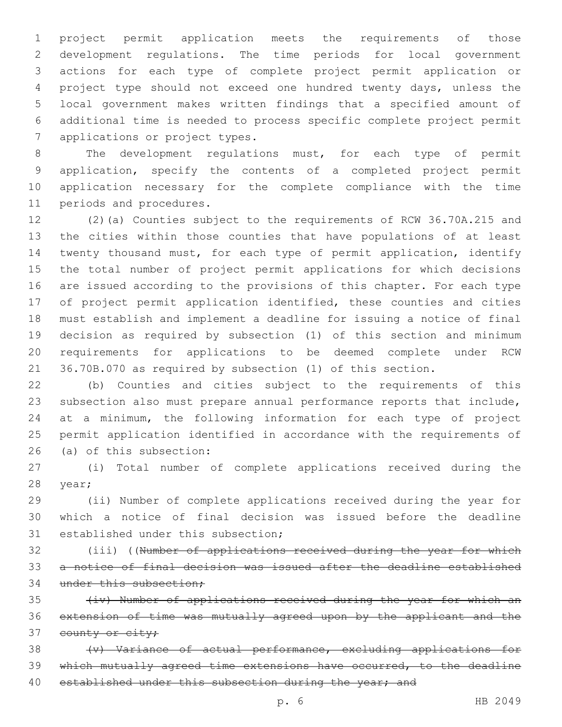project permit application meets the requirements of those development regulations. The time periods for local government actions for each type of complete project permit application or project type should not exceed one hundred twenty days, unless the local government makes written findings that a specified amount of additional time is needed to process specific complete project permit 7 applications or project types.

 The development regulations must, for each type of permit application, specify the contents of a completed project permit application necessary for the complete compliance with the time 11 periods and procedures.

 (2)(a) Counties subject to the requirements of RCW 36.70A.215 and the cities within those counties that have populations of at least twenty thousand must, for each type of permit application, identify the total number of project permit applications for which decisions are issued according to the provisions of this chapter. For each type of project permit application identified, these counties and cities must establish and implement a deadline for issuing a notice of final decision as required by subsection (1) of this section and minimum requirements for applications to be deemed complete under RCW 36.70B.070 as required by subsection (1) of this section.

 (b) Counties and cities subject to the requirements of this subsection also must prepare annual performance reports that include, at a minimum, the following information for each type of project permit application identified in accordance with the requirements of 26 (a) of this subsection:

 (i) Total number of complete applications received during the 28 year;

 (ii) Number of complete applications received during the year for which a notice of final decision was issued before the deadline 31 established under this subsection;

 (iii) ((Number of applications received during the year for which a notice of final decision was issued after the deadline established 34 under this subsection;

 (iv) Number of applications received during the year for which an extension of time was mutually agreed upon by the applicant and the 37 county or city;

38 (v) Variance of actual performance, excluding applications for which mutually agreed time extensions have occurred, to the deadline 40 established under this subsection during the year; and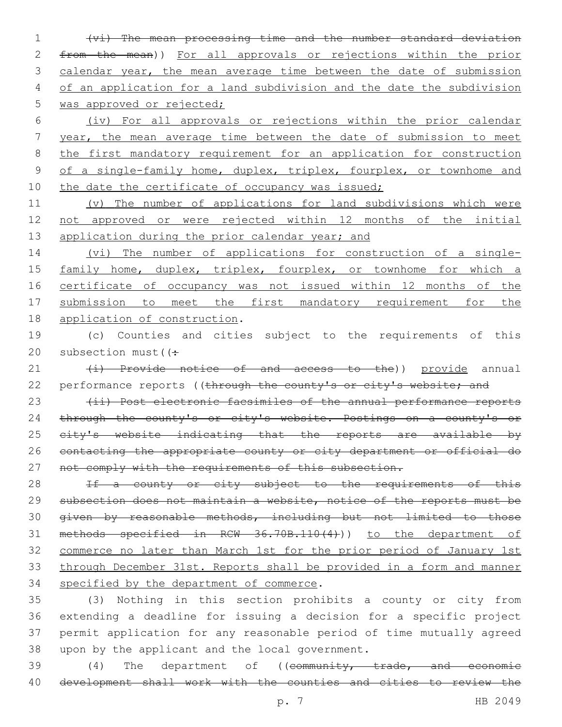1 (vi) The mean processing time and the number standard deviation 2 from the mean)) For all approvals or rejections within the prior 3 calendar year, the mean average time between the date of submission 4 of an application for a land subdivision and the date the subdivision 5 was approved or rejected;

6 (iv) For all approvals or rejections within the prior calendar 7 year, the mean average time between the date of submission to meet 8 the first mandatory requirement for an application for construction 9 of a single-family home, duplex, triplex, fourplex, or townhome and 10 the date the certificate of occupancy was issued;

11 (v) The number of applications for land subdivisions which were 12 not approved or were rejected within 12 months of the initial 13 application during the prior calendar year; and

14 (vi) The number of applications for construction of a single-15 family home, duplex, triplex, fourplex, or townhome for which a 16 certificate of occupancy was not issued within 12 months of the 17 submission to meet the first mandatory requirement for the 18 application of construction.

19 (c) Counties and cities subject to the requirements of this 20 subsection must( $\left( \div \right)$ 

21 (i) Provide notice of and access to the)) provide annual 22 performance reports ((through the county's or city's website; and

23 (ii) Post electronic facsimiles of the annual performance reports 24 through the county's or city's website. Postings on a county's or 25 eity's website indicating that the reports are available by 26 contacting the appropriate county or city department or official do 27 not comply with the requirements of this subsection.

28 If a county or city subject to the requirements of this 29 subsection does not maintain a website, notice of the reports must be 30 given by reasonable methods, including but not limited to those 31 methods specified in RCW 36.70B.110(4))) to the department of 32 commerce no later than March 1st for the prior period of January 1st 33 through December 31st. Reports shall be provided in a form and manner 34 specified by the department of commerce.

 (3) Nothing in this section prohibits a county or city from extending a deadline for issuing a decision for a specific project permit application for any reasonable period of time mutually agreed 38 upon by the applicant and the local government.

39 (4) The department of ((community, trade, and economic 40 development shall work with the counties and cities to review the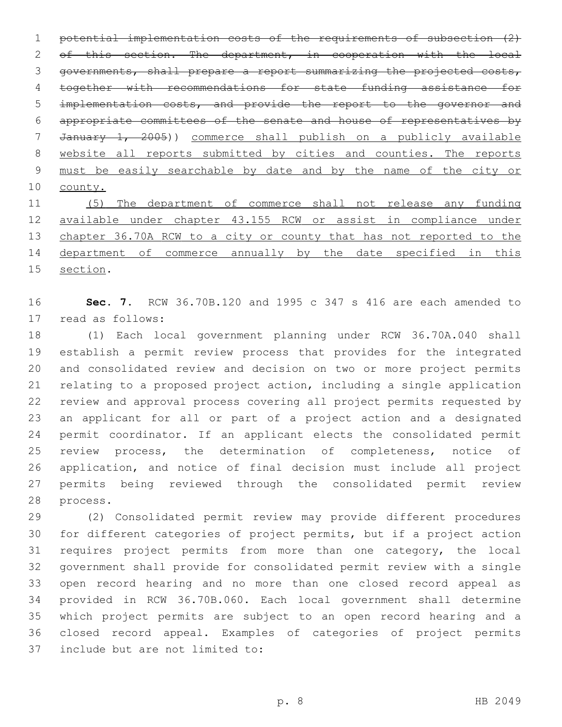potential implementation costs of the requirements of subsection (2) 2 of this section. The department, in cooperation with the local governments, shall prepare a report summarizing the projected costs, together with recommendations for state funding assistance for implementation costs, and provide the report to the governor and appropriate committees of the senate and house of representatives by January 1, 2005)) commerce shall publish on a publicly available website all reports submitted by cities and counties. The reports must be easily searchable by date and by the name of the city or county.

 (5) The department of commerce shall not release any funding available under chapter 43.155 RCW or assist in compliance under 13 chapter 36.70A RCW to a city or county that has not reported to the 14 department of commerce annually by the date specified in this 15 section.

 **Sec. 7.** RCW 36.70B.120 and 1995 c 347 s 416 are each amended to 17 read as follows:

 (1) Each local government planning under RCW 36.70A.040 shall establish a permit review process that provides for the integrated and consolidated review and decision on two or more project permits relating to a proposed project action, including a single application review and approval process covering all project permits requested by an applicant for all or part of a project action and a designated permit coordinator. If an applicant elects the consolidated permit review process, the determination of completeness, notice of application, and notice of final decision must include all project permits being reviewed through the consolidated permit review 28 process.

 (2) Consolidated permit review may provide different procedures for different categories of project permits, but if a project action requires project permits from more than one category, the local government shall provide for consolidated permit review with a single open record hearing and no more than one closed record appeal as provided in RCW 36.70B.060. Each local government shall determine which project permits are subject to an open record hearing and a closed record appeal. Examples of categories of project permits 37 include but are not limited to: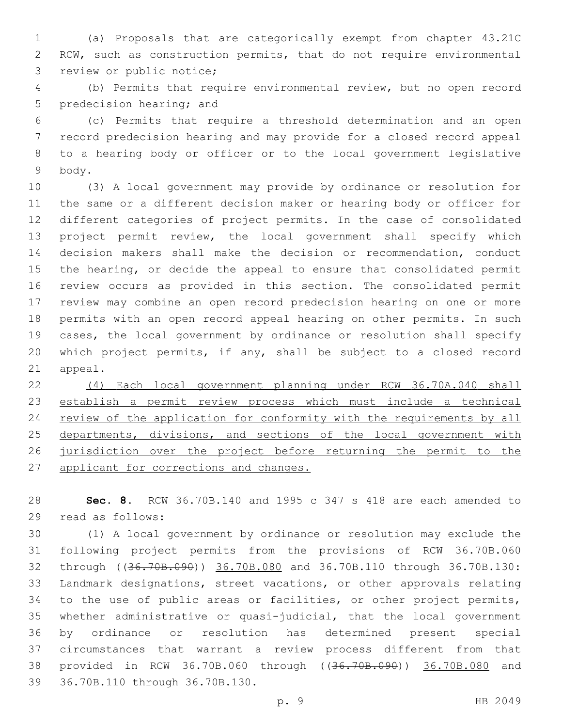(a) Proposals that are categorically exempt from chapter 43.21C RCW, such as construction permits, that do not require environmental 3 review or public notice;

 (b) Permits that require environmental review, but no open record 5 predecision hearing; and

 (c) Permits that require a threshold determination and an open record predecision hearing and may provide for a closed record appeal to a hearing body or officer or to the local government legislative 9 body.

 (3) A local government may provide by ordinance or resolution for the same or a different decision maker or hearing body or officer for different categories of project permits. In the case of consolidated project permit review, the local government shall specify which decision makers shall make the decision or recommendation, conduct the hearing, or decide the appeal to ensure that consolidated permit review occurs as provided in this section. The consolidated permit review may combine an open record predecision hearing on one or more permits with an open record appeal hearing on other permits. In such cases, the local government by ordinance or resolution shall specify which project permits, if any, shall be subject to a closed record 21 appeal.

 (4) Each local government planning under RCW 36.70A.040 shall establish a permit review process which must include a technical 24 review of the application for conformity with the requirements by all 25 departments, divisions, and sections of the local government with jurisdiction over the project before returning the permit to the 27 applicant for corrections and changes.

 **Sec. 8.** RCW 36.70B.140 and 1995 c 347 s 418 are each amended to 29 read as follows:

 (1) A local government by ordinance or resolution may exclude the following project permits from the provisions of RCW 36.70B.060 through ((36.70B.090)) 36.70B.080 and 36.70B.110 through 36.70B.130: Landmark designations, street vacations, or other approvals relating to the use of public areas or facilities, or other project permits, whether administrative or quasi-judicial, that the local government by ordinance or resolution has determined present special circumstances that warrant a review process different from that provided in RCW 36.70B.060 through ((36.70B.090)) 36.70B.080 and 39 36.70B.110 through 36.70B.130.